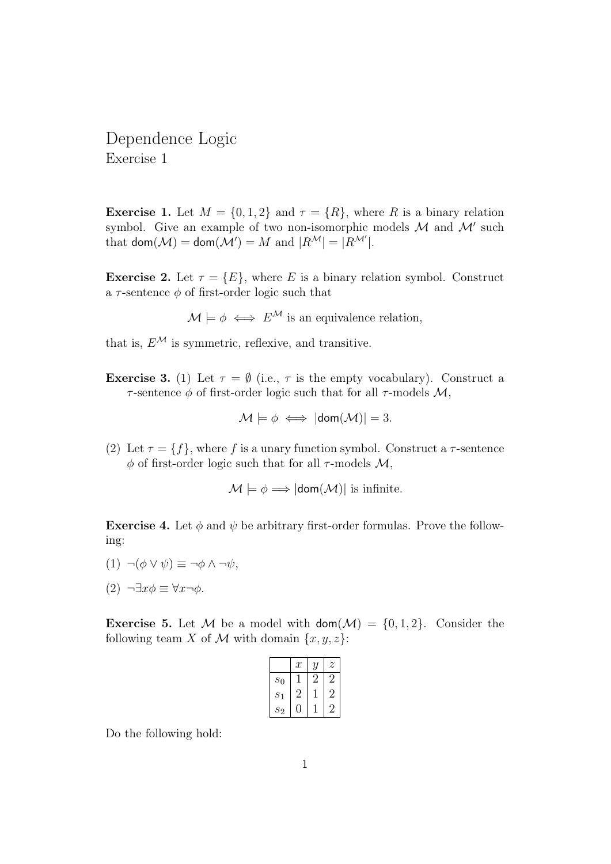Dependence Logic Exercise 1

**Exercise 1.** Let  $M = \{0, 1, 2\}$  and  $\tau = \{R\}$ , where R is a binary relation symbol. Give an example of two non-isomorphic models  $\mathcal M$  and  $\mathcal M'$  such that  $\mathsf{dom}(\mathcal{M}) = \mathsf{dom}(\mathcal{M}') = M$  and  $|R^{\mathcal{M}}| = |R^{\mathcal{M}'}|$ .

**Exercise 2.** Let  $\tau = \{E\}$ , where E is a binary relation symbol. Construct a  $\tau$ -sentence  $\phi$  of first-order logic such that

 $\mathcal{M} \models \phi \iff E^{\mathcal{M}}$  is an equivalence relation,

that is,  $E^{\mathcal{M}}$  is symmetric, reflexive, and transitive.

**Exercise 3.** (1) Let  $\tau = \emptyset$  (i.e.,  $\tau$  is the empty vocabulary). Construct a  $\tau$ -sentence  $\phi$  of first-order logic such that for all  $\tau$ -models M,

$$
\mathcal{M} \models \phi \iff |\text{dom}(\mathcal{M})| = 3.
$$

(2) Let  $\tau = \{f\}$ , where f is a unary function symbol. Construct a  $\tau$ -sentence  $\phi$  of first-order logic such that for all  $\tau$ -models M,

$$
\mathcal{M} \models \phi \Longrightarrow |\text{dom}(\mathcal{M})| \text{ is infinite.}
$$

**Exercise 4.** Let  $\phi$  and  $\psi$  be arbitrary first-order formulas. Prove the following:

- $(1) \neg(\phi \vee \psi) \equiv \neg \phi \wedge \neg \psi$ ,
- (2)  $\neg \exists x \phi \equiv \forall x \neg \phi$ .

**Exercise 5.** Let M be a model with  $\text{dom}(\mathcal{M}) = \{0, 1, 2\}$ . Consider the following team X of M with domain  $\{x, y, z\}$ :

|                  | $\,x$ | Y | $\widetilde{\mathcal{Z}}$ |
|------------------|-------|---|---------------------------|
| $s_0$            |       |   | 2                         |
| $\sqrt{s_1}$     | 2     |   | 2                         |
| $\mathfrak{s}_2$ |       |   |                           |

Do the following hold: